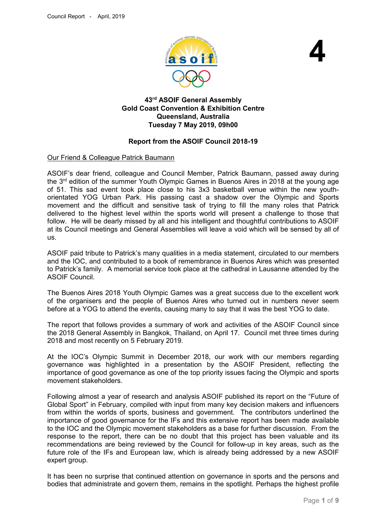

**4**

# **43rd ASOIF General Assembly Gold Coast Convention & Exhibition Centre Queensland, Australia Tuesday 7 May 2019, 09h00**

# **Report from the ASOIF Council 2018-19**

# Our Friend & Colleague Patrick Baumann

ASOIF's dear friend, colleague and Council Member, Patrick Baumann, passed away during the 3<sup>rd</sup> edition of the summer Youth Olympic Games in Buenos Aires in 2018 at the young age of 51. This sad event took place close to his 3x3 basketball venue within the new youthorientated YOG Urban Park. His passing cast a shadow over the Olympic and Sports movement and the difficult and sensitive task of trying to fill the many roles that Patrick delivered to the highest level within the sports world will present a challenge to those that follow. He will be dearly missed by all and his intelligent and thoughtful contributions to ASOIF at its Council meetings and General Assemblies will leave a void which will be sensed by all of us.

ASOIF paid tribute to Patrick's many qualities in a media statement, circulated to our members and the IOC, and contributed to a book of remembrance in Buenos Aires which was presented to Patrick's family. A memorial service took place at the cathedral in Lausanne attended by the ASOIF Council.

The Buenos Aires 2018 Youth Olympic Games was a great success due to the excellent work of the organisers and the people of Buenos Aires who turned out in numbers never seem before at a YOG to attend the events, causing many to say that it was the best YOG to date.

The report that follows provides a summary of work and activities of the ASOIF Council since the 2018 General Assembly in Bangkok, Thailand, on April 17. Council met three times during 2018 and most recently on 5 February 2019.

At the IOC's Olympic Summit in December 2018, our work with our members regarding governance was highlighted in a presentation by the ASOIF President, reflecting the importance of good governance as one of the top priority issues facing the Olympic and sports movement stakeholders.

Following almost a year of research and analysis ASOIF published its report on the "Future of Global Sport" in February, compiled with input from many key decision makers and influencers from within the worlds of sports, business and government. The contributors underlined the importance of good governance for the IFs and this extensive report has been made available to the IOC and the Olympic movement stakeholders as a base for further discussion. From the response to the report, there can be no doubt that this project has been valuable and its recommendations are being reviewed by the Council for follow-up in key areas, such as the future role of the IFs and European law, which is already being addressed by a new ASOIF expert group.

It has been no surprise that continued attention on governance in sports and the persons and bodies that administrate and govern them, remains in the spotlight. Perhaps the highest profile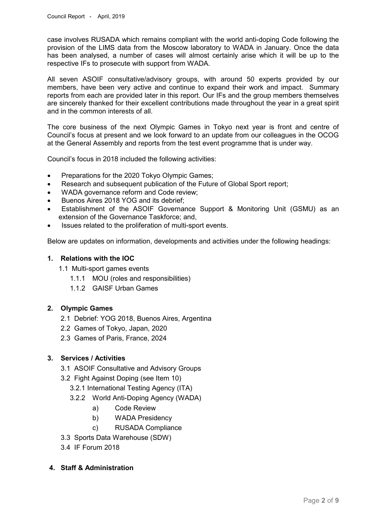case involves RUSADA which remains compliant with the world anti-doping Code following the provision of the LIMS data from the Moscow laboratory to WADA in January. Once the data has been analysed, a number of cases will almost certainly arise which it will be up to the respective IFs to prosecute with support from WADA.

All seven ASOIF consultative/advisory groups, with around 50 experts provided by our members, have been very active and continue to expand their work and impact. Summary reports from each are provided later in this report. Our IFs and the group members themselves are sincerely thanked for their excellent contributions made throughout the year in a great spirit and in the common interests of all.

The core business of the next Olympic Games in Tokyo next year is front and centre of Council's focus at present and we look forward to an update from our colleagues in the OCOG at the General Assembly and reports from the test event programme that is under way.

Council's focus in 2018 included the following activities:

- Preparations for the 2020 Tokyo Olympic Games;
- Research and subsequent publication of the Future of Global Sport report;
- WADA governance reform and Code review;
- Buenos Aires 2018 YOG and its debrief;
- Establishment of the ASOIF Governance Support & Monitoring Unit (GSMU) as an extension of the Governance Taskforce; and,
- Issues related to the proliferation of multi-sport events.

Below are updates on information, developments and activities under the following headings:

# **1. Relations with the IOC**

- 1.1 Multi-sport games events
	- 1.1.1 MOU (roles and responsibilities)
	- 1.1.2 GAISF Urban Games

# **2. Olympic Games**

- 2.1 Debrief: YOG 2018, Buenos Aires, Argentina
- 2.2 Games of Tokyo, Japan, 2020
- 2.3 Games of Paris, France, 2024

# **3. Services / Activities**

- 3.1 ASOIF Consultative and Advisory Groups
- 3.2 Fight Against Doping (see Item 10)
	- 3.2.1 International Testing Agency (ITA)
	- 3.2.2 World Anti-Doping Agency (WADA)
		- a) Code Review
		- b) WADA Presidency
		- c) RUSADA Compliance
- 3.3 Sports Data Warehouse (SDW)
- 3.4 IF Forum 2018
- **4. Staff & Administration**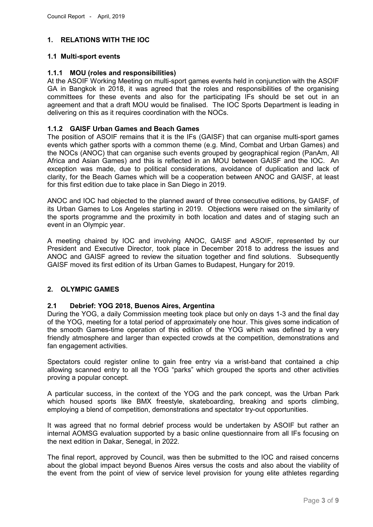# **1. RELATIONS WITH THE IOC**

# **1.1 Multi-sport events**

### **1.1.1 MOU (roles and responsibilities)**

At the ASOIF Working Meeting on multi-sport games events held in conjunction with the ASOIF GA in Bangkok in 2018, it was agreed that the roles and responsibilities of the organising committees for these events and also for the participating IFs should be set out in an agreement and that a draft MOU would be finalised. The IOC Sports Department is leading in delivering on this as it requires coordination with the NOCs.

# **1.1.2 GAISF Urban Games and Beach Games**

The position of ASOIF remains that it is the IFs (GAISF) that can organise multi-sport games events which gather sports with a common theme (e.g. Mind, Combat and Urban Games) and the NOCs (ANOC) that can organise such events grouped by geographical region (PanAm, All Africa and Asian Games) and this is reflected in an MOU between GAISF and the IOC. An exception was made, due to political considerations, avoidance of duplication and lack of clarity, for the Beach Games which will be a cooperation between ANOC and GAISF, at least for this first edition due to take place in San Diego in 2019.

ANOC and IOC had objected to the planned award of three consecutive editions, by GAISF, of its Urban Games to Los Angeles starting in 2019. Objections were raised on the similarity of the sports programme and the proximity in both location and dates and of staging such an event in an Olympic year.

A meeting chaired by IOC and involving ANOC, GAISF and ASOIF, represented by our President and Executive Director, took place in December 2018 to address the issues and ANOC and GAISF agreed to review the situation together and find solutions. Subsequently GAISF moved its first edition of its Urban Games to Budapest, Hungary for 2019.

# **2. OLYMPIC GAMES**

### **2.1 Debrief: YOG 2018, Buenos Aires, Argentina**

During the YOG, a daily Commission meeting took place but only on days 1-3 and the final day of the YOG, meeting for a total period of approximately one hour. This gives some indication of the smooth Games-time operation of this edition of the YOG which was defined by a very friendly atmosphere and larger than expected crowds at the competition, demonstrations and fan engagement activities.

Spectators could register online to gain free entry via a wrist-band that contained a chip allowing scanned entry to all the YOG "parks" which grouped the sports and other activities proving a popular concept.

A particular success, in the context of the YOG and the park concept, was the Urban Park which housed sports like BMX freestyle, skateboarding, breaking and sports climbing, employing a blend of competition, demonstrations and spectator try-out opportunities.

It was agreed that no formal debrief process would be undertaken by ASOIF but rather an internal AOMSG evaluation supported by a basic online questionnaire from all IFs focusing on the next edition in Dakar, Senegal, in 2022.

The final report, approved by Council, was then be submitted to the IOC and raised concerns about the global impact beyond Buenos Aires versus the costs and also about the viability of the event from the point of view of service level provision for young elite athletes regarding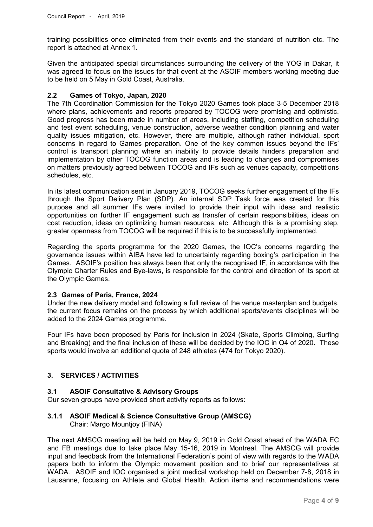training possibilities once eliminated from their events and the standard of nutrition etc. The report is attached at Annex 1.

Given the anticipated special circumstances surrounding the delivery of the YOG in Dakar, it was agreed to focus on the issues for that event at the ASOIF members working meeting due to be held on 5 May in Gold Coast, Australia.

#### **2.2 Games of Tokyo, Japan, 2020**

The 7th Coordination Commission for the Tokyo 2020 Games took place 3-5 December 2018 where plans, achievements and reports prepared by TOCOG were promising and optimistic. Good progress has been made in number of areas, including staffing, competition scheduling and test event scheduling, venue construction, adverse weather condition planning and water quality issues mitigation, etc. However, there are multiple, although rather individual, sport concerns in regard to Games preparation. One of the key common issues beyond the IFs' control is transport planning where an inability to provide details hinders preparation and implementation by other TOCOG function areas and is leading to changes and compromises on matters previously agreed between TOCOG and IFs such as venues capacity, competitions schedules, etc.

In its latest communication sent in January 2019, TOCOG seeks further engagement of the IFs through the Sport Delivery Plan (SDP). An internal SDP Task force was created for this purpose and all summer IFs were invited to provide their input with ideas and realistic opportunities on further IF engagement such as transfer of certain responsibilities, ideas on cost reduction, ideas on optimizing human resources, etc. Although this is a promising step, greater openness from TOCOG will be required if this is to be successfully implemented.

Regarding the sports programme for the 2020 Games, the IOC's concerns regarding the governance issues within AIBA have led to uncertainty regarding boxing's participation in the Games. ASOIF's position has always been that only the recognised IF, in accordance with the Olympic Charter Rules and Bye-laws, is responsible for the control and direction of its sport at the Olympic Games.

#### **2.3 Games of Paris, France, 2024**

Under the new delivery model and following a full review of the venue masterplan and budgets, the current focus remains on the process by which additional sports/events disciplines will be added to the 2024 Games programme.

Four IFs have been proposed by Paris for inclusion in 2024 (Skate, Sports Climbing, Surfing and Breaking) and the final inclusion of these will be decided by the IOC in Q4 of 2020. These sports would involve an additional quota of 248 athletes (474 for Tokyo 2020).

# **3. SERVICES / ACTIVITIES**

#### **3.1 ASOIF Consultative & Advisory Groups**

Our seven groups have provided short activity reports as follows:

### **3.1.1 ASOIF Medical & Science Consultative Group (AMSCG)** Chair: Margo Mountjoy (FINA)

The next AMSCG meeting will be held on May 9, 2019 in Gold Coast ahead of the WADA EC and FB meetings due to take place May 15-16, 2019 in Montreal. The AMSCG will provide input and feedback from the International Federation's point of view with regards to the WADA papers both to inform the Olympic movement position and to brief our representatives at WADA. ASOIF and IOC organised a joint medical workshop held on December 7-8, 2018 in Lausanne, focusing on Athlete and Global Health. Action items and recommendations were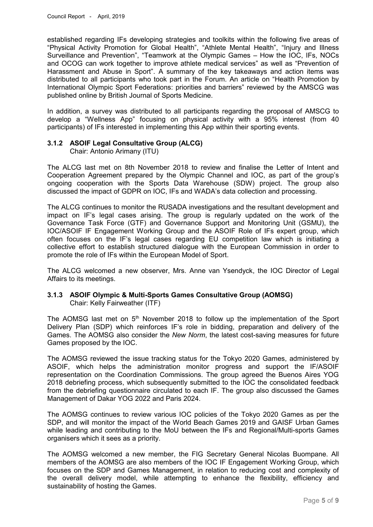established regarding IFs developing strategies and toolkits within the following five areas of "Physical Activity Promotion for Global Health", "Athlete Mental Health", "Injury and Illness Surveillance and Prevention", "Teamwork at the Olympic Games – How the IOC, IFs, NOCs and OCOG can work together to improve athlete medical services" as well as "Prevention of Harassment and Abuse in Sport". A summary of the key takeaways and action items was distributed to all participants who took part in the Forum. An article on "Health Promotion by International Olympic Sport Federations: priorities and barriers" reviewed by the AMSCG was published online by British Journal of Sports Medicine.

In addition, a survey was distributed to all participants regarding the proposal of AMSCG to develop a "Wellness App" focusing on physical activity with a 95% interest (from 40 participants) of IFs interested in implementing this App within their sporting events.

# **3.1.2 ASOIF Legal Consultative Group (ALCG)**

Chair: Antonio Arimany (ITU)

The ALCG last met on 8th November 2018 to review and finalise the Letter of Intent and Cooperation Agreement prepared by the Olympic Channel and IOC, as part of the group's ongoing cooperation with the Sports Data Warehouse (SDW) project. The group also discussed the impact of GDPR on IOC, IFs and WADA's data collection and processing.

The ALCG continues to monitor the RUSADA investigations and the resultant development and impact on IF's legal cases arising. The group is regularly updated on the work of the Governance Task Force (GTF) and Governance Support and Monitoring Unit (GSMU), the IOC/ASOIF IF Engagement Working Group and the ASOIF Role of IFs expert group, which often focuses on the IF's legal cases regarding EU competition law which is initiating a collective effort to establish structured dialogue with the European Commission in order to promote the role of IFs within the European Model of Sport.

The ALCG welcomed a new observer, Mrs. Anne van Ysendyck, the IOC Director of Legal Affairs to its meetings.

### **3.1.3 ASOIF Olympic & Multi-Sports Games Consultative Group (AOMSG)** Chair: Kelly Fairweather (ITF)

The AOMSG last met on  $5<sup>th</sup>$  November 2018 to follow up the implementation of the Sport Delivery Plan (SDP) which reinforces IF's role in bidding, preparation and delivery of the Games. The AOMSG also consider the *New Norm*, the latest cost-saving measures for future Games proposed by the IOC.

The AOMSG reviewed the issue tracking status for the Tokyo 2020 Games, administered by ASOIF, which helps the administration monitor progress and support the IF/ASOIF representation on the Coordination Commissions. The group agreed the Buenos Aires YOG 2018 debriefing process, which subsequently submitted to the IOC the consolidated feedback from the debriefing questionnaire circulated to each IF. The group also discussed the Games Management of Dakar YOG 2022 and Paris 2024.

The AOMSG continues to review various IOC policies of the Tokyo 2020 Games as per the SDP, and will monitor the impact of the World Beach Games 2019 and GAISF Urban Games while leading and contributing to the MoU between the IFs and Regional/Multi-sports Games organisers which it sees as a priority.

The AOMSG welcomed a new member, the FIG Secretary General Nicolas Buompane. All members of the AOMSG are also members of the IOC IF Engagement Working Group, which focuses on the SDP and Games Management, in relation to reducing cost and complexity of the overall delivery model, while attempting to enhance the flexibility, efficiency and sustainability of hosting the Games.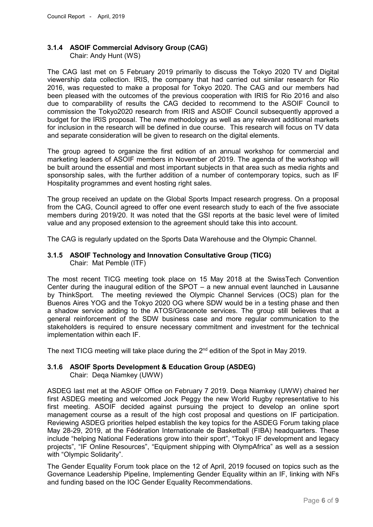### **3.1.4 ASOIF Commercial Advisory Group (CAG)** Chair: Andy Hunt (WS)

The CAG last met on 5 February 2019 primarily to discuss the Tokyo 2020 TV and Digital viewership data collection. IRIS, the company that had carried out similar research for Rio 2016, was requested to make a proposal for Tokyo 2020. The CAG and our members had been pleased with the outcomes of the previous cooperation with IRIS for Rio 2016 and also due to comparability of results the CAG decided to recommend to the ASOIF Council to commission the Tokyo2020 research from IRIS and ASOIF Council subsequently approved a budget for the IRIS proposal. The new methodology as well as any relevant additional markets for inclusion in the research will be defined in due course. This research will focus on TV data and separate consideration will be given to research on the digital elements.

The group agreed to organize the first edition of an annual workshop for commercial and marketing leaders of ASOIF members in November of 2019. The agenda of the workshop will be built around the essential and most important subjects in that area such as media rights and sponsorship sales, with the further addition of a number of contemporary topics, such as IF Hospitality programmes and event hosting right sales.

The group received an update on the Global Sports Impact research progress. On a proposal from the CAG, Council agreed to offer one event research study to each of the five associate members during 2019/20. It was noted that the GSI reports at the basic level were of limited value and any proposed extension to the agreement should take this into account.

The CAG is regularly updated on the Sports Data Warehouse and the Olympic Channel.

## **3.1.5 ASOIF Technology and Innovation Consultative Group (TICG)** Chair: Mat Pemble (ITF)

The most recent TICG meeting took place on 15 May 2018 at the SwissTech Convention Center during the inaugural edition of the SPOT – a new annual event launched in Lausanne by ThinkSport. The meeting reviewed the Olympic Channel Services (OCS) plan for the Buenos Aires YOG and the Tokyo 2020 OG where SDW would be in a testing phase and then a shadow service adding to the ATOS/Gracenote services. The group still believes that a general reinforcement of the SDW business case and more regular communication to the stakeholders is required to ensure necessary commitment and investment for the technical implementation within each IF.

The next TICG meeting will take place during the 2<sup>nd</sup> edition of the Spot in May 2019.

# **3.1.6 ASOIF Sports Development & Education Group (ASDEG)**

Chair: Deqa Niamkey (UWW)

ASDEG last met at the ASOIF Office on February 7 2019. Deqa Niamkey (UWW) chaired her first ASDEG meeting and welcomed Jock Peggy the new World Rugby representative to his first meeting. ASOIF decided against pursuing the project to develop an online sport management course as a result of the high cost proposal and questions on IF participation. Reviewing ASDEG priorities helped establish the key topics for the ASDEG Forum taking place May 28-29, 2019, at the Fédération Internationale de Basketball (FIBA) headquarters. These include "helping National Federations grow into their sport", "Tokyo IF development and legacy projects", "IF Online Resources", "Equipment shipping with OlympAfrica" as well as a session with "Olympic Solidarity".

The Gender Equality Forum took place on the 12 of April, 2019 focused on topics such as the Governance Leadership Pipeline, Implementing Gender Equality within an IF, linking with NFs and funding based on the IOC Gender Equality Recommendations.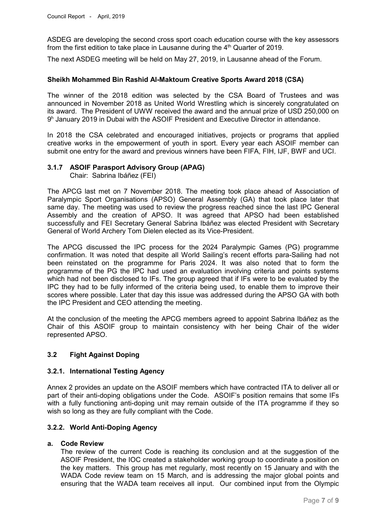ASDEG are developing the second cross sport coach education course with the key assessors from the first edition to take place in Lausanne during the  $4<sup>th</sup>$  Quarter of 2019.

The next ASDEG meeting will be held on May 27, 2019, in Lausanne ahead of the Forum.

### **Sheikh Mohammed Bin Rashid Al-Maktoum Creative Sports Award 2018 (CSA)**

The winner of the 2018 edition was selected by the CSA Board of Trustees and was announced in November 2018 as United World Wrestling which is sincerely congratulated on its award. The President of UWW received the award and the annual prize of USD 250,000 on  $9<sup>h</sup>$  January 2019 in Dubai with the ASOIF President and Executive Director in attendance.

In 2018 the CSA celebrated and encouraged initiatives, projects or programs that applied creative works in the empowerment of youth in sport. Every year each ASOIF member can submit one entry for the award and previous winners have been FIFA, FIH, IJF, BWF and UCI.

#### **3.1.7 ASOIF Parasport Advisory Group (APAG)**

Chair: Sabrina Ibáñez (FEI)

The APCG last met on 7 November 2018. The meeting took place ahead of Association of Paralympic Sport Organisations (APSO) General Assembly (GA) that took place later that same day. The meeting was used to review the progress reached since the last IPC General Assembly and the creation of APSO. It was agreed that APSO had been established successfully and FEI Secretary General Sabrina Ibáñez was elected President with Secretary General of World Archery Tom Dielen elected as its Vice-President.

The APCG discussed the IPC process for the 2024 Paralympic Games (PG) programme confirmation. It was noted that despite all World Sailing's recent efforts para-Sailing had not been reinstated on the programme for Paris 2024. It was also noted that to form the programme of the PG the IPC had used an evaluation involving criteria and points systems which had not been disclosed to IFs. The group agreed that if IFs were to be evaluated by the IPC they had to be fully informed of the criteria being used, to enable them to improve their scores where possible. Later that day this issue was addressed during the APSO GA with both the IPC President and CEO attending the meeting.

At the conclusion of the meeting the APCG members agreed to appoint Sabrina Ibáñez as the Chair of this ASOIF group to maintain consistency with her being Chair of the wider represented APSO.

# **3.2 Fight Against Doping**

#### **3.2.1. International Testing Agency**

Annex 2 provides an update on the ASOIF members which have contracted ITA to deliver all or part of their anti-doping obligations under the Code. ASOIF's position remains that some IFs with a fully functioning anti-doping unit may remain outside of the ITA programme if they so wish so long as they are fully compliant with the Code.

### **3.2.2. World Anti-Doping Agency**

#### **a. Code Review**

The review of the current Code is reaching its conclusion and at the suggestion of the ASOIF President, the IOC created a stakeholder working group to coordinate a position on the key matters. This group has met regularly, most recently on 15 January and with the WADA Code review team on 15 March, and is addressing the major global points and ensuring that the WADA team receives all input. Our combined input from the Olympic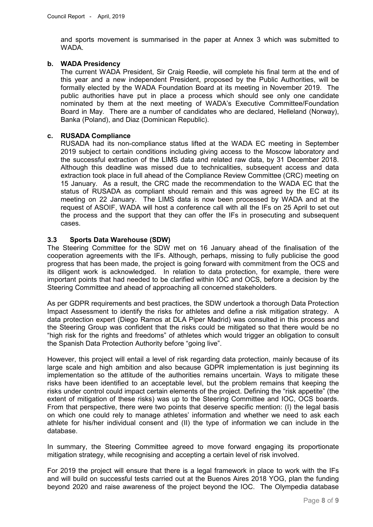and sports movement is summarised in the paper at Annex 3 which was submitted to WADA.

# **b. WADA Presidency**

The current WADA President, Sir Craig Reedie, will complete his final term at the end of this year and a new independent President, proposed by the Public Authorities, will be formally elected by the WADA Foundation Board at its meeting in November 2019. The public authorities have put in place a process which should see only one candidate nominated by them at the next meeting of WADA's Executive Committee/Foundation Board in May. There are a number of candidates who are declared, Helleland (Norway), Banka (Poland), and Diaz (Dominican Republic).

## **c. RUSADA Compliance**

RUSADA had its non-compliance status lifted at the WADA EC meeting in September 2019 subject to certain conditions including giving access to the Moscow laboratory and the successful extraction of the LIMS data and related raw data, by 31 December 2018. Although this deadline was missed due to technicalities, subsequent access and data extraction took place in full ahead of the Compliance Review Committee (CRC) meeting on 15 January. As a result, the CRC made the recommendation to the WADA EC that the status of RUSADA as compliant should remain and this was agreed by the EC at its meeting on 22 January. The LIMS data is now been processed by WADA and at the request of ASOIF, WADA will host a conference call with all the IFs on 25 April to set out the process and the support that they can offer the IFs in prosecuting and subsequent cases.

### **3.3 Sports Data Warehouse (SDW)**

The Steering Committee for the SDW met on 16 January ahead of the finalisation of the cooperation agreements with the IFs. Although, perhaps, missing to fully publicise the good progress that has been made, the project is going forward with commitment from the OCS and its diligent work is acknowledged. In relation to data protection, for example, there were important points that had needed to be clarified within IOC and OCS, before a decision by the Steering Committee and ahead of approaching all concerned stakeholders.

As per GDPR requirements and best practices, the SDW undertook a thorough Data Protection Impact Assessment to identify the risks for athletes and define a risk mitigation strategy. A data protection expert (Diego Ramos at DLA Piper Madrid) was consulted in this process and the Steering Group was confident that the risks could be mitigated so that there would be no "high risk for the rights and freedoms" of athletes which would trigger an obligation to consult the Spanish Data Protection Authority before "going live".

However, this project will entail a level of risk regarding data protection, mainly because of its large scale and high ambition and also because GDPR implementation is just beginning its implementation so the attitude of the authorities remains uncertain. Ways to mitigate these risks have been identified to an acceptable level, but the problem remains that keeping the risks under control could impact certain elements of the project. Defining the "risk appetite" (the extent of mitigation of these risks) was up to the Steering Committee and IOC, OCS boards. From that perspective, there were two points that deserve specific mention: (I) the legal basis on which one could rely to manage athletes' information and whether we need to ask each athlete for his/her individual consent and (II) the type of information we can include in the database.

In summary, the Steering Committee agreed to move forward engaging its proportionate mitigation strategy, while recognising and accepting a certain level of risk involved.

For 2019 the project will ensure that there is a legal framework in place to work with the IFs and will build on successful tests carried out at the Buenos Aires 2018 YOG, plan the funding beyond 2020 and raise awareness of the project beyond the IOC. The Olympedia database